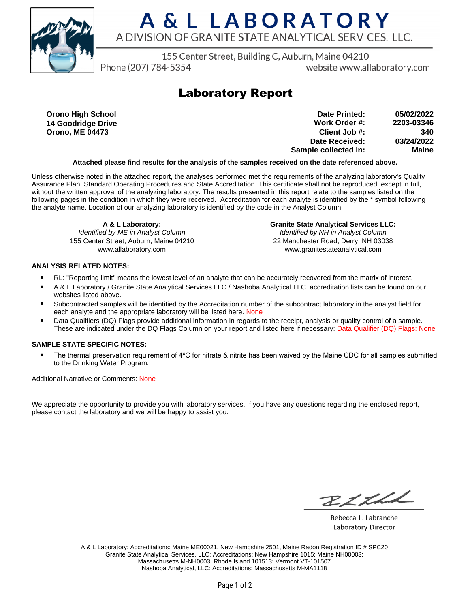

## A & L LABORATORY A DIVISION OF GRANITE STATE ANALYTICAL SERVICES, LLC.

155 Center Street, Building C, Auburn, Maine 04210

Phone (207) 784-5354

website www.allaboratory.com

### **Laboratory Report**

**Orono High School 14 Goodridge Drive Orono, ME 04473**

**Work Order #: Client Job #: Date Received: Sample collected in: 2203-03346 340 03/24/2022 Maine Date Printed: 05/02/2022**

#### **Attached please find results for the analysis of the samples received on the date referenced above.**

Unless otherwise noted in the attached report, the analyses performed met the requirements of the analyzing laboratory's Quality Assurance Plan, Standard Operating Procedures and State Accreditation. This certificate shall not be reproduced, except in full, without the written approval of the analyzing laboratory. The results presented in this report relate to the samples listed on the following pages in the condition in which they were received. Accreditation for each analyte is identified by the \* symbol following the analyte name. Location of our analyzing laboratory is identified by the code in the Analyst Column.

> **A & L Laboratory:** Identified by ME in Analyst Column

155 Center Street, Auburn, Maine 04210 www.allaboratory.com

**Granite State Analytical Services LLC:** Identified by NH in Analyst Column 22 Manchester Road, Derry, NH 03038 www.granitestateanalytical.com

#### **ANALYSIS RELATED NOTES:**

- RL: "Reporting limit" means the lowest level of an analyte that can be accurately recovered from the matrix of interest.
- A & L Laboratory / Granite State Analytical Services LLC / Nashoba Analytical LLC. accreditation lists can be found on our websites listed above.
- Subcontracted samples will be identified by the Accreditation number of the subcontract laboratory in the analyst field for each analyte and the appropriate laboratory will be listed here. None
- Data Qualifiers (DQ) Flags provide additional information in regards to the receipt, analysis or quality control of a sample. These are indicated under the DQ Flags Column on your report and listed here if necessary: Data Qualifier (DQ) Flags: None

#### **SAMPLE STATE SPECIFIC NOTES:**

• The thermal preservation requirement of 4°C for nitrate & nitrite has been waived by the Maine CDC for all samples submitted to the Drinking Water Program.

Additional Narrative or Comments: None

We appreciate the opportunity to provide you with laboratory services. If you have any questions regarding the enclosed report, please contact the laboratory and we will be happy to assist you.

BLLLL

Rebecca L. Labranche Laboratory Director

A & L Laboratory: Accreditations: Maine ME00021, New Hampshire 2501, Maine Radon Registration ID # SPC20 Granite State Analytical Services, LLC: Accreditations: New Hampshire 1015; Maine NH00003; Massachusetts M-NH0003; Rhode Island 101513; Vermont VT-101507 Nashoba Analytical, LLC: Accreditations: Massachusetts M-MA1118